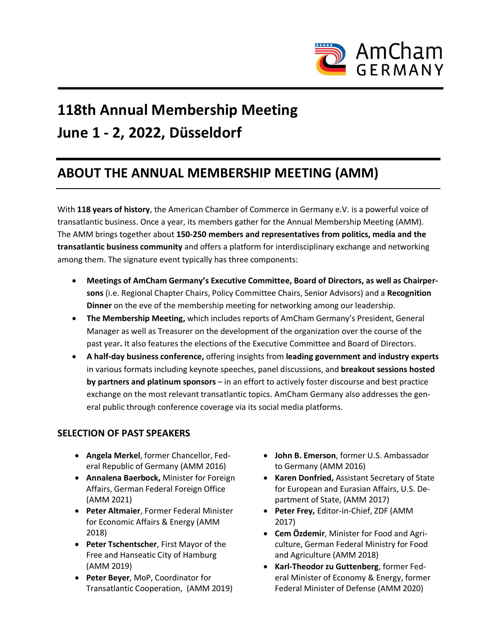

# **118th Annual Membership Meeting June 1 - 2, 2022, Düsseldorf**

#### **ABOUT THE ANNUAL MEMBERSHIP MEETING (AMM)**

With **118 years of history**, the American Chamber of Commerce in Germany e.V. is a powerful voice of transatlantic business. Once a year, its members gather for the Annual Membership Meeting (AMM). The AMM brings together about **150-250 members and representatives from politics, media and the transatlantic business community** and offers a platform for interdisciplinary exchange and networking among them. The signature event typically has three components:

- **Meetings of AmCham Germany's Executive Committee, Board of Directors, as well as Chairpersons** (i.e. Regional Chapter Chairs, Policy Committee Chairs, Senior Advisors) and a **Recognition Dinner** on the eve of the membership meeting for networking among our leadership.
- **The Membership Meeting,** which includes reports of AmCham Germany's President, General Manager as well as Treasurer on the development of the organization over the course of the past year**.** It also features the elections of the Executive Committee and Board of Directors.
- **A half-day business conference,** offering insights from **leading government and industry experts** in various formats including keynote speeches, panel discussions, and **breakout sessions hosted by partners and platinum sponsors** – in an effort to actively foster discourse and best practice exchange on the most relevant transatlantic topics. AmCham Germany also addresses the general public through conference coverage via its social media platforms.

#### **SELECTION OF PAST SPEAKERS**

- **Angela Merkel**, former Chancellor, Federal Republic of Germany (AMM 2016)
- **Annalena Baerbock,** Minister for Foreign Affairs, German Federal Foreign Office (AMM 2021)
- **Peter Altmaier**, Former Federal Minister for Economic Affairs & Energy (AMM 2018)
- **Peter Tschentscher**, First Mayor of the Free and Hanseatic City of Hamburg (AMM 2019)
- **Peter Beyer**, MoP, Coordinator for Transatlantic Cooperation, (AMM 2019)
- **John B. Emerson**, former U.S. Ambassador to Germany (AMM 2016)
- **Karen Donfried,** Assistant Secretary of State for European and Eurasian Affairs, U.S. Department of State, (AMM 2017)
- **Peter Frey,** Editor-in-Chief, ZDF (AMM 2017)
- **Cem Özdemir**, Minister for Food and Agriculture, German Federal Ministry for Food and Agriculture (AMM 2018)
- **Karl-Theodor zu Guttenberg**, former Federal Minister of Economy & Energy, former Federal Minister of Defense (AMM 2020)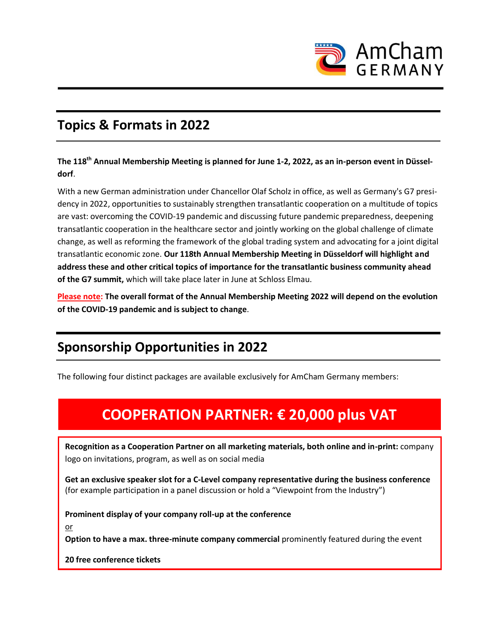

#### **Topics & Formats in 2022**

**The 118th Annual Membership Meeting is planned for June 1-2, 2022, as an in-person event in Düsseldorf**.

With a new German administration under Chancellor Olaf Scholz in office, as well as Germany's G7 presidency in 2022, opportunities to sustainably strengthen transatlantic cooperation on a multitude of topics are vast: overcoming the COVID-19 pandemic and discussing future pandemic preparedness, deepening transatlantic cooperation in the healthcare sector and jointly working on the global challenge of climate change, as well as reforming the framework of the global trading system and advocating for a joint digital transatlantic economic zone. **Our 118th Annual Membership Meeting in Düsseldorf will highlight and address these and other critical topics of importance for the transatlantic business community ahead of the G7 summit,** which will take place later in June at Schloss Elmau.

**Please note: The overall format of the Annual Membership Meeting 2022 will depend on the evolution of the COVID-19 pandemic and is subject to change**.

### **Sponsorship Opportunities in 2022**

The following four distinct packages are available exclusively for AmCham Germany members:

### **COOPERATION PARTNER: € 20,000 plus VAT**

**Recognition as a Cooperation Partner on all marketing materials, both online and in-print:** company logo on invitations, program, as well as on social media

**Get an exclusive speaker slot for a C-Level company representative during the business conference** (for example participation in a panel discussion or hold a "Viewpoint from the Industry")

**Prominent display of your company roll-up at the conference**

or

**Option to have a max. three-minute company commercial** prominently featured during the event

**20 free conference tickets**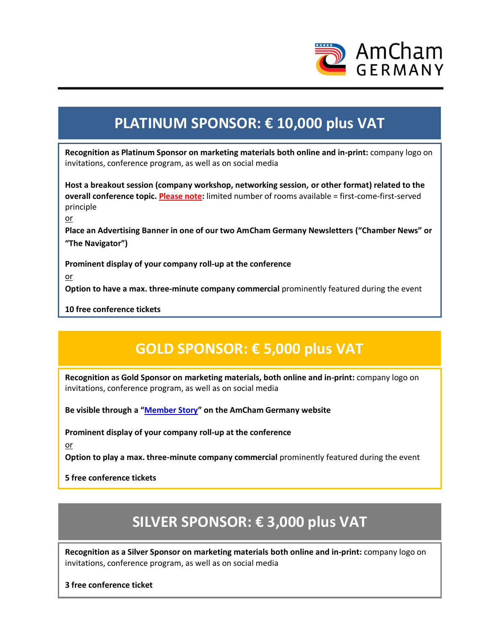

## **PLATINUM SPONSOR: € 10,000 plus VAT**

**Recognition as Platinum Sponsor on marketing materials both online and in-print:** company logo on invitations, conference program, as well as on social media

**Host a breakout session (company workshop, networking session, or other format) related to the overall conference topic. Please note:** limited number of rooms available = first-come-first-served principle

or

**Place an Advertising Banner in one of our two AmCham Germany Newsletters ("Chamber News" or "The Navigator")**

**Prominent display of your company roll-up at the conference**

or

**Option to have a max. three-minute company commercial** prominently featured during the event

**10 free conference tickets**

### **GOLD SPONSOR: € 5,000 plus VAT**

**Recognition as Gold Sponsor on marketing materials, both online and in-print:** company logo on invitations, conference program, as well as on social media

**Be visible through a "[Member Story](https://www.amcham.de/membership/member-stories)" on the AmCham Germany website**

**Prominent display of your company roll-up at the conference**

or

**Option to play a max. three-minute company commercial** prominently featured during the event

**5 free conference tickets** 

## **SILVER SPONSOR: € 3,000 plus VAT**

**Recognition as a Silver Sponsor on marketing materials both online and in-print:** company logo on invitations, conference program, as well as on social media

**3 free conference ticket**